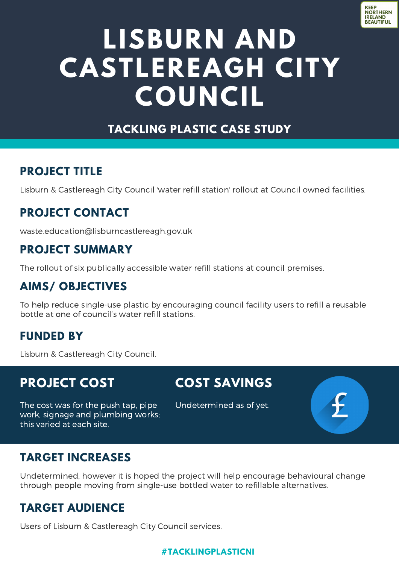

# **LISBURN AND CASTLEREAGH CITY COUNCIL**

### **TACKLING PLASTIC CASE STUDY**

### **PROJECT TITLE**

Lisburn & Castlereagh City Council 'water refill station' rollout at Council owned facilities.

### **PROJECT CONTACT**

[waste.education@lisburncastlereagh.gov.uk](mailto:waste.education@lisburncastlereagh.gov.uk)

#### **PROJECT SUMMARY**

The rollout of six publically accessible water refill stations at council premises.

### **AIMS/ OBJECTIVES**

To help reduce single-use plastic by encouraging council facility users to refill a reusable bottle at one of council's water refill stations.

#### **FUNDED BY**

Lisburn & Castlereagh City Council.

# **PROJECT COST**

this varied at each site.

# **COST SAVINGS**

The cost was for the push tap, pipe work, signage and plumbing works;

Undetermined as of yet.

### **TARGET INCREASES**

Undetermined, however it is hoped the project will help encourage behavioural change through people moving from single-use bottled water to refillable alternatives.

## **TARGET AUDIENCE**

Users of Lisburn & Castlereagh City Council services.

#### **#TACKLINGPLASTICNI**